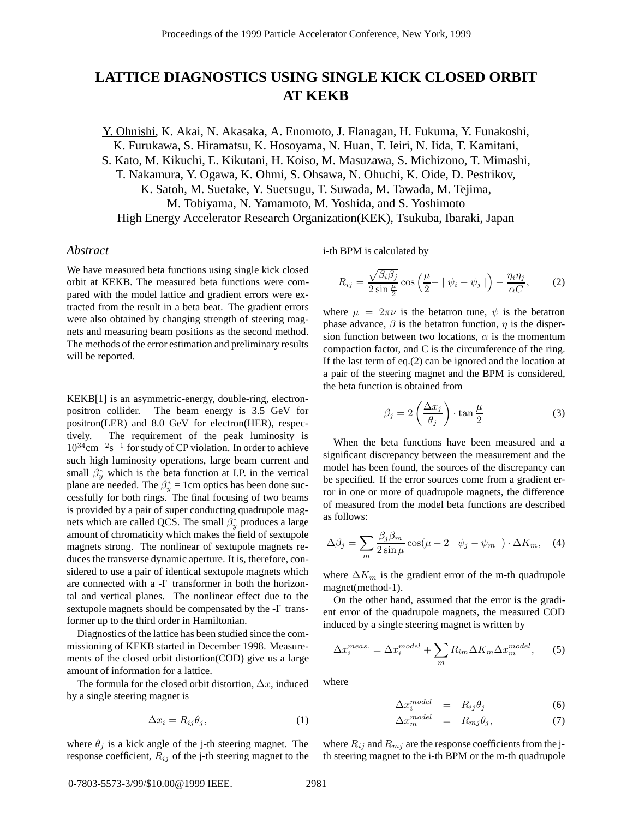## **LATTICE DIAGNOSTICS USING SINGLE KICK CLOSED ORBIT AT KEKB**

Y. Ohnishi, K. Akai, N. Akasaka, A. Enomoto, J. Flanagan, H. Fukuma, Y. Funakoshi, K. Furukawa, S. Hiramatsu, K. Hosoyama, N. Huan, T. Ieiri, N. Iida, T. Kamitani, S. Kato, M. Kikuchi, E. Kikutani, H. Koiso, M. Masuzawa, S. Michizono, T. Mimashi,

T. Nakamura, Y. Ogawa, K. Ohmi, S. Ohsawa, N. Ohuchi, K. Oide, D. Pestrikov, K. Satoh, M. Suetake, Y. Suetsugu, T. Suwada, M. Tawada, M. Tejima,

M. Tobiyama, N. Yamamoto, M. Yoshida, and S. Yoshimoto

High Energy Accelerator Research Organization(KEK), Tsukuba, Ibaraki, Japan

## *Abstract*

We have measured beta functions using single kick closed orbit at KEKB. The measured beta functions were compared with the model lattice and gradient errors were extracted from the result in a beta beat. The gradient errors were also obtained by changing strength of steering magnets and measuring beam positions as the second method. The methods of the error estimation and preliminary results will be reported.

KEKB[1] is an asymmetric-energy, double-ring, electronpositron collider. The beam energy is 3.5 GeV for positron(LER) and 8.0 GeV for electron(HER), respectively. The requirement of the peak luminosity is  $10^{34}$ cm<sup>-2</sup>s<sup>-1</sup> for study of CP violation. In order to achieve such high luminosity operations, large beam current and small  $\beta_{\nu}^{*}$  which is the beta function at I.P. in the vertical plane are needed. The  $\beta_{\nu}^* = 1$ cm optics has been done successfully for both rings. The final focusing of two beams is provided by a pair of super conducting quadrupole magnets which are called QCS. The small  $\beta_u^*$  produces a large amount of chromaticity which makes the field of sextupole magnets strong. The nonlinear of sextupole magnets reduces the transverse dynamic aperture. It is, therefore, considered to use a pair of identical sextupole magnets which are connected with a -I' transformer in both the horizontal and vertical planes. The nonlinear effect due to the sextupole magnets should be compensated by the -I' transformer up to the third order in Hamiltonian.

Diagnostics of the lattice has been studied since the commissioning of KEKB started in December 1998. Measurements of the closed orbit distortion(COD) give us a large amount of information for a lattice.

The formula for the closed orbit distortion,  $\Delta x$ , induced by a single steering magnet is

$$
\Delta x_i = R_{ij}\theta_j,\tag{1}
$$

where  $\theta_j$  is a kick angle of the j-th steering magnet. The response coefficient,  $R_{ij}$  of the j-th steering magnet to the

i-th BPM is calculated by

$$
R_{ij} = \frac{\sqrt{\beta_i \beta_j}}{2 \sin \frac{\mu}{2}} \cos \left(\frac{\mu}{2} - |\psi_i - \psi_j| \right) - \frac{\eta_i \eta_j}{\alpha C}, \tag{2}
$$

where  $\mu = 2\pi \nu$  is the betatron tune,  $\psi$  is the betatron phase advance,  $\beta$  is the betatron function,  $\eta$  is the dispersion function between two locations,  $\alpha$  is the momentum compaction factor, and C is the circumference of the ring. If the last term of eq.(2) can be ignored and the location at a pair of the steering magnet and the BPM is considered, the beta function is obtained from

$$
\beta_j = 2\left(\frac{\Delta x_j}{\theta_j}\right) \cdot \tan\frac{\mu}{2} \tag{3}
$$

When the beta functions have been measured and a significant discrepancy between the measurement and the model has been found, the sources of the discrepancy can be specified. If the error sources come from a gradient error in one or more of quadrupole magnets, the difference of measured from the model beta functions are described as follows:

$$
\Delta \beta_j = \sum_m \frac{\beta_j \beta_m}{2 \sin \mu} \cos(\mu - 2 \mid \psi_j - \psi_m \mid) \cdot \Delta K_m, \quad (4)
$$

where  $\Delta K_m$  is the gradient error of the m-th quadrupole magnet(method-1).

On the other hand, assumed that the error is the gradient error of the quadrupole magnets, the measured COD induced by a single steering magnet is written by

$$
\Delta x_i^{meas.} = \Delta x_i^{model} + \sum_m R_{im} \Delta K_m \Delta x_m^{model}, \qquad (5)
$$

where

$$
\Delta x_i^{model} = R_{ij} \theta_j \tag{6}
$$

$$
\Delta x_m^{model} = R_{mj}\theta_j, \qquad (7)
$$

where  $R_{ij}$  and  $R_{mj}$  are the response coefficients from the jth steering magnet to the i-th BPM or the m-th quadrupole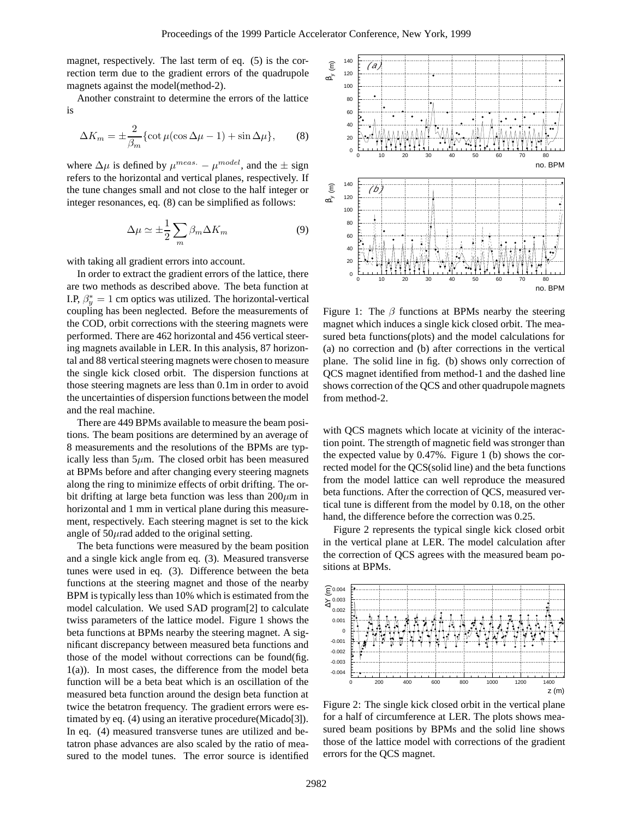magnet, respectively. The last term of eq. (5) is the correction term due to the gradient errors of the quadrupole magnets against the model(method-2).

Another constraint to determine the errors of the lattice is

$$
\Delta K_m = \pm \frac{2}{\beta_m} \{ \cot \mu (\cos \Delta \mu - 1) + \sin \Delta \mu \}, \qquad (8)
$$

where  $\Delta \mu$  is defined by  $\mu^{meas.} - \mu^{model}$ , and the  $\pm$  sign refers to the horizontal and vertical planes, respectively. If the tune changes small and not close to the half integer or integer resonances, eq. (8) can be simplified as follows:

$$
\Delta \mu \simeq \pm \frac{1}{2} \sum_{m} \beta_{m} \Delta K_{m} \tag{9}
$$

with taking all gradient errors into account.

In order to extract the gradient errors of the lattice, there are two methods as described above. The beta function at I.P,  $\beta_n^* = 1$  cm optics was utilized. The horizontal-vertical coupling has been neglected. Before the measurements of the COD, orbit corrections with the steering magnets were performed. There are 462 horizontal and 456 vertical steering magnets available in LER. In this analysis, 87 horizontal and 88 vertical steering magnets were chosen to measure the single kick closed orbit. The dispersion functions at those steering magnets are less than 0.1m in order to avoid the uncertainties of dispersion functions between the model and the real machine.

There are 449 BPMs available to measure the beam positions. The beam positions are determined by an average of 8 measurements and the resolutions of the BPMs are typically less than  $5\mu$ m. The closed orbit has been measured at BPMs before and after changing every steering magnets along the ring to minimize effects of orbit drifting. The orbit drifting at large beta function was less than  $200 \mu m$  in horizontal and 1 mm in vertical plane during this measurement, respectively. Each steering magnet is set to the kick angle of  $50\mu$ rad added to the original setting.

The beta functions were measured by the beam position and a single kick angle from eq. (3). Measured transverse tunes were used in eq. (3). Difference between the beta functions at the steering magnet and those of the nearby BPM is typically less than 10% which is estimated from the model calculation. We used SAD program[2] to calculate twiss parameters of the lattice model. Figure 1 shows the beta functions at BPMs nearby the steering magnet. A significant discrepancy between measured beta functions and those of the model without corrections can be found(fig. 1(a)). In most cases, the difference from the model beta function will be a beta beat which is an oscillation of the measured beta function around the design beta function at twice the betatron frequency. The gradient errors were estimated by eq. (4) using an iterative procedure(Micado[3]). In eq. (4) measured transverse tunes are utilized and betatron phase advances are also scaled by the ratio of measured to the model tunes. The error source is identified



Figure 1: The  $\beta$  functions at BPMs nearby the steering magnet which induces a single kick closed orbit. The measured beta functions(plots) and the model calculations for (a) no correction and (b) after corrections in the vertical plane. The solid line in fig. (b) shows only correction of QCS magnet identified from method-1 and the dashed line shows correction of the QCS and other quadrupole magnets from method-2.

with QCS magnets which locate at vicinity of the interaction point. The strength of magnetic field was stronger than the expected value by 0.47%. Figure 1 (b) shows the corrected model for the QCS(solid line) and the beta functions from the model lattice can well reproduce the measured beta functions. After the correction of QCS, measured vertical tune is different from the model by 0.18, on the other hand, the difference before the correction was 0.25.

Figure 2 represents the typical single kick closed orbit in the vertical plane at LER. The model calculation after the correction of QCS agrees with the measured beam positions at BPMs.



Figure 2: The single kick closed orbit in the vertical plane for a half of circumference at LER. The plots shows measured beam positions by BPMs and the solid line shows those of the lattice model with corrections of the gradient errors for the QCS magnet.